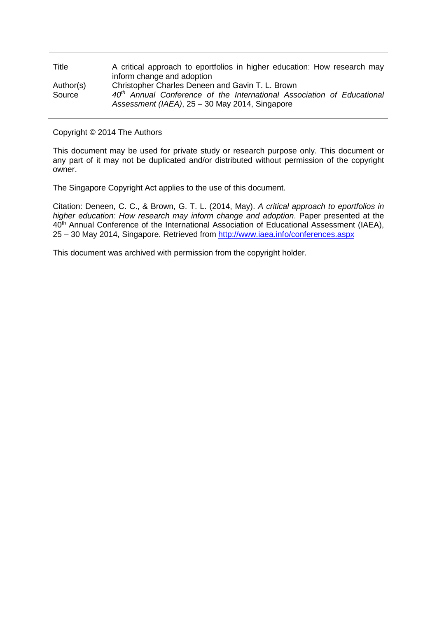| Title     | A critical approach to eportfolios in higher education: How research may           |
|-----------|------------------------------------------------------------------------------------|
|           | inform change and adoption                                                         |
| Author(s) | Christopher Charles Deneen and Gavin T. L. Brown                                   |
| Source    | 40 <sup>th</sup> Annual Conference of the International Association of Educational |
|           | Assessment (IAEA), 25 - 30 May 2014, Singapore                                     |

Copyright © 2014 The Authors

This document may be used for private study or research purpose only. This document or any part of it may not be duplicated and/or distributed without permission of the copyright owner.

The Singapore Copyright Act applies to the use of this document.

Citation: Deneen, C. C., & Brown, G. T. L. (2014, May). *A critical approach to eportfolios in higher education: How research may inform change and adoption*. Paper presented at the 40<sup>th</sup> Annual Conference of the International Association of Educational Assessment (IAEA), 25 – 30 May 2014, Singapore. Retrieved from<http://www.iaea.info/conferences.aspx>

This document was archived with permission from the copyright holder.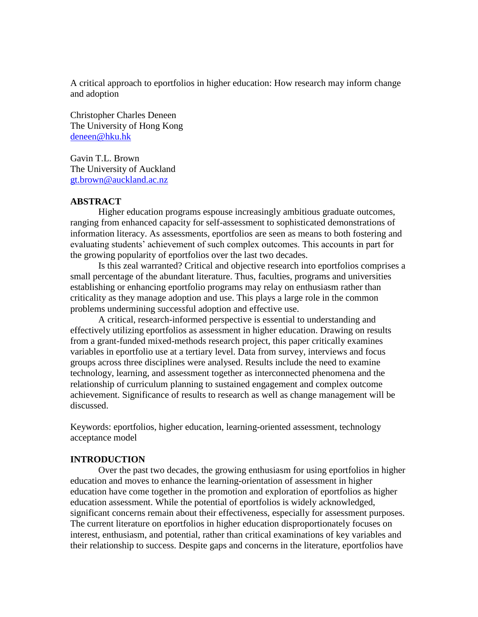A critical approach to eportfolios in higher education: How research may inform change and adoption

Christopher Charles Deneen The University of Hong Kong [deneen@hku.hk](mailto:deneen@hku.hk)

Gavin T.L. Brown The University of Auckland [gt.brown@auckland.ac.nz](mailto:gt.brown@auckland.ac.nz)

# **ABSTRACT**

Higher education programs espouse increasingly ambitious graduate outcomes, ranging from enhanced capacity for self-assessment to sophisticated demonstrations of information literacy. As assessments, eportfolios are seen as means to both fostering and evaluating students' achievement of such complex outcomes. This accounts in part for the growing popularity of eportfolios over the last two decades.

Is this zeal warranted? Critical and objective research into eportfolios comprises a small percentage of the abundant literature. Thus, faculties, programs and universities establishing or enhancing eportfolio programs may relay on enthusiasm rather than criticality as they manage adoption and use. This plays a large role in the common problems undermining successful adoption and effective use.

A critical, research-informed perspective is essential to understanding and effectively utilizing eportfolios as assessment in higher education. Drawing on results from a grant-funded mixed-methods research project, this paper critically examines variables in eportfolio use at a tertiary level. Data from survey, interviews and focus groups across three disciplines were analysed. Results include the need to examine technology, learning, and assessment together as interconnected phenomena and the relationship of curriculum planning to sustained engagement and complex outcome achievement. Significance of results to research as well as change management will be discussed.

Keywords: eportfolios, higher education, learning-oriented assessment, technology acceptance model

## **INTRODUCTION**

Over the past two decades, the growing enthusiasm for using eportfolios in higher education and moves to enhance the learning-orientation of assessment in higher education have come together in the promotion and exploration of eportfolios as higher education assessment. While the potential of eportfolios is widely acknowledged, significant concerns remain about their effectiveness, especially for assessment purposes. The current literature on eportfolios in higher education disproportionately focuses on interest, enthusiasm, and potential, rather than critical examinations of key variables and their relationship to success. Despite gaps and concerns in the literature, eportfolios have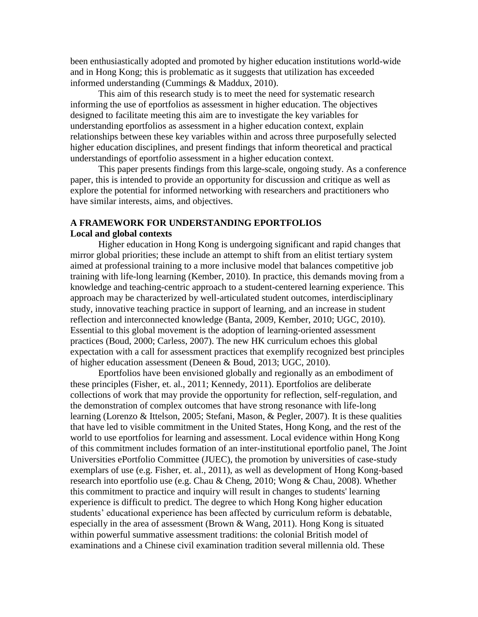been enthusiastically adopted and promoted by higher education institutions world-wide and in Hong Kong; this is problematic as it suggests that utilization has exceeded informed understanding (Cummings & Maddux, 2010).

This aim of this research study is to meet the need for systematic research informing the use of eportfolios as assessment in higher education. The objectives designed to facilitate meeting this aim are to investigate the key variables for understanding eportfolios as assessment in a higher education context, explain relationships between these key variables within and across three purposefully selected higher education disciplines, and present findings that inform theoretical and practical understandings of eportfolio assessment in a higher education context.

This paper presents findings from this large-scale, ongoing study. As a conference paper, this is intended to provide an opportunity for discussion and critique as well as explore the potential for informed networking with researchers and practitioners who have similar interests, aims, and objectives.

# **A FRAMEWORK FOR UNDERSTANDING EPORTFOLIOS Local and global contexts**

Higher education in Hong Kong is undergoing significant and rapid changes that mirror global priorities; these include an attempt to shift from an elitist tertiary system aimed at professional training to a more inclusive model that balances competitive job training with life-long learning (Kember, 2010). In practice, this demands moving from a knowledge and teaching-centric approach to a student-centered learning experience. This approach may be characterized by well-articulated student outcomes, interdisciplinary study, innovative teaching practice in support of learning, and an increase in student reflection and interconnected knowledge (Banta, 2009, Kember, 2010; UGC, 2010). Essential to this global movement is the adoption of learning-oriented assessment practices (Boud, 2000; Carless, 2007). The new HK curriculum echoes this global expectation with a call for assessment practices that exemplify recognized best principles of higher education assessment (Deneen & Boud, 2013; UGC, 2010).

Eportfolios have been envisioned globally and regionally as an embodiment of these principles (Fisher, et. al., 2011; Kennedy, 2011). Eportfolios are deliberate collections of work that may provide the opportunity for reflection, self-regulation, and the demonstration of complex outcomes that have strong resonance with life-long learning (Lorenzo & Ittelson, 2005; Stefani, Mason, & Pegler, 2007). It is these qualities that have led to visible commitment in the United States, Hong Kong, and the rest of the world to use eportfolios for learning and assessment. Local evidence within Hong Kong of this commitment includes formation of an inter-institutional eportfolio panel, The Joint Universities ePortfolio Committee (JUEC), the promotion by universities of case-study exemplars of use (e.g. Fisher, et. al., 2011), as well as development of Hong Kong-based research into eportfolio use (e.g. Chau & Cheng, 2010; Wong & Chau, 2008). Whether this commitment to practice and inquiry will result in changes to students' learning experience is difficult to predict. The degree to which Hong Kong higher education students' educational experience has been affected by curriculum reform is debatable, especially in the area of assessment (Brown & Wang, 2011). Hong Kong is situated within powerful summative assessment traditions: the colonial British model of examinations and a Chinese civil examination tradition several millennia old. These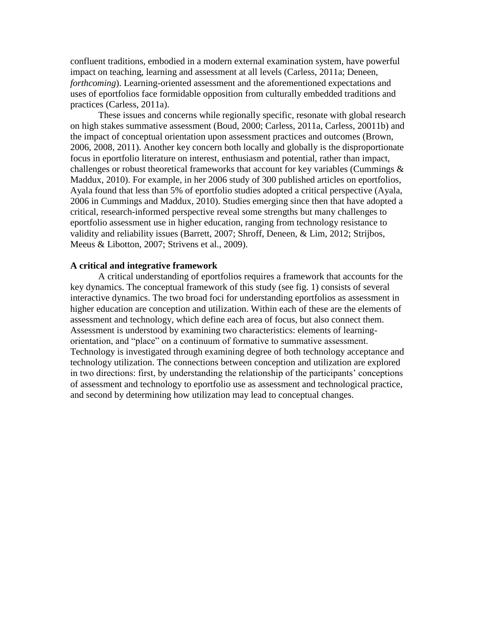confluent traditions, embodied in a modern external examination system, have powerful impact on teaching, learning and assessment at all levels (Carless, 2011a; Deneen, *forthcoming*). Learning-oriented assessment and the aforementioned expectations and uses of eportfolios face formidable opposition from culturally embedded traditions and practices (Carless, 2011a).

These issues and concerns while regionally specific, resonate with global research on high stakes summative assessment (Boud, 2000; Carless, 2011a, Carless, 20011b) and the impact of conceptual orientation upon assessment practices and outcomes (Brown, 2006, 2008, 2011). Another key concern both locally and globally is the disproportionate focus in eportfolio literature on interest, enthusiasm and potential, rather than impact, challenges or robust theoretical frameworks that account for key variables (Cummings & Maddux, 2010). For example, in her 2006 study of 300 published articles on eportfolios, Ayala found that less than 5% of eportfolio studies adopted a critical perspective (Ayala, 2006 in Cummings and Maddux, 2010). Studies emerging since then that have adopted a critical, research-informed perspective reveal some strengths but many challenges to eportfolio assessment use in higher education, ranging from technology resistance to validity and reliability issues (Barrett, 2007; Shroff, Deneen, & Lim, 2012; Strijbos, Meeus & Libotton, 2007; Strivens et al., 2009).

## **A critical and integrative framework**

A critical understanding of eportfolios requires a framework that accounts for the key dynamics. The conceptual framework of this study (see fig. 1) consists of several interactive dynamics. The two broad foci for understanding eportfolios as assessment in higher education are conception and utilization. Within each of these are the elements of assessment and technology, which define each area of focus, but also connect them. Assessment is understood by examining two characteristics: elements of learningorientation, and "place" on a continuum of formative to summative assessment. Technology is investigated through examining degree of both technology acceptance and technology utilization. The connections between conception and utilization are explored in two directions: first, by understanding the relationship of the participants' conceptions of assessment and technology to eportfolio use as assessment and technological practice, and second by determining how utilization may lead to conceptual changes.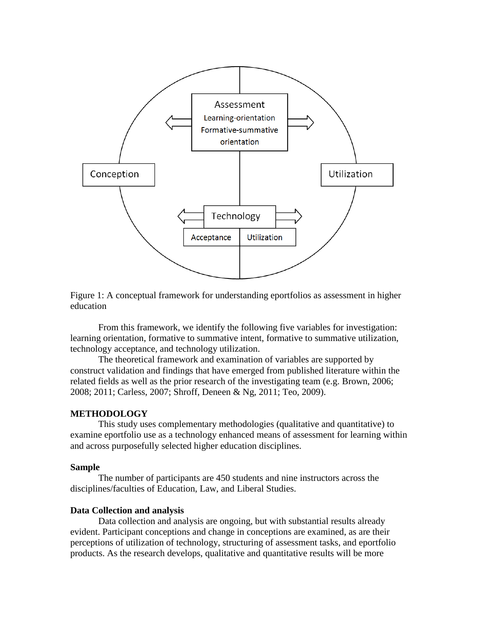



From this framework, we identify the following five variables for investigation: learning orientation, formative to summative intent, formative to summative utilization, technology acceptance, and technology utilization.

The theoretical framework and examination of variables are supported by construct validation and findings that have emerged from published literature within the related fields as well as the prior research of the investigating team (e.g. Brown, 2006; 2008; 2011; Carless, 2007; Shroff, Deneen & Ng, 2011; Teo, 2009).

#### **METHODOLOGY**

This study uses complementary methodologies (qualitative and quantitative) to examine eportfolio use as a technology enhanced means of assessment for learning within and across purposefully selected higher education disciplines.

#### **Sample**

The number of participants are 450 students and nine instructors across the disciplines/faculties of Education, Law, and Liberal Studies.

#### **Data Collection and analysis**

Data collection and analysis are ongoing, but with substantial results already evident. Participant conceptions and change in conceptions are examined, as are their perceptions of utilization of technology, structuring of assessment tasks, and eportfolio products. As the research develops, qualitative and quantitative results will be more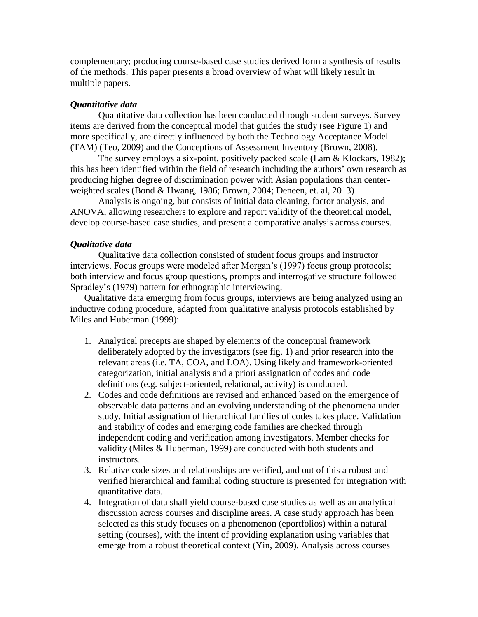complementary; producing course-based case studies derived form a synthesis of results of the methods. This paper presents a broad overview of what will likely result in multiple papers.

# *Quantitative data*

Quantitative data collection has been conducted through student surveys. Survey items are derived from the conceptual model that guides the study (see Figure 1) and more specifically, are directly influenced by both the Technology Acceptance Model (TAM) (Teo, 2009) and the Conceptions of Assessment Inventory (Brown, 2008).

The survey employs a six-point, positively packed scale (Lam & Klockars, 1982); this has been identified within the field of research including the authors' own research as producing higher degree of discrimination power with Asian populations than centerweighted scales (Bond & Hwang, 1986; Brown, 2004; Deneen, et. al, 2013)

Analysis is ongoing, but consists of initial data cleaning, factor analysis, and ANOVA, allowing researchers to explore and report validity of the theoretical model, develop course-based case studies, and present a comparative analysis across courses.

## *Qualitative data*

Qualitative data collection consisted of student focus groups and instructor interviews. Focus groups were modeled after Morgan's (1997) focus group protocols; both interview and focus group questions, prompts and interrogative structure followed Spradley's (1979) pattern for ethnographic interviewing.

Qualitative data emerging from focus groups, interviews are being analyzed using an inductive coding procedure, adapted from qualitative analysis protocols established by Miles and Huberman (1999):

- 1. Analytical precepts are shaped by elements of the conceptual framework deliberately adopted by the investigators (see fig. 1) and prior research into the relevant areas (i.e. TA, COA, and LOA). Using likely and framework-oriented categorization, initial analysis and a priori assignation of codes and code definitions (e.g. subject-oriented, relational, activity) is conducted.
- 2. Codes and code definitions are revised and enhanced based on the emergence of observable data patterns and an evolving understanding of the phenomena under study. Initial assignation of hierarchical families of codes takes place. Validation and stability of codes and emerging code families are checked through independent coding and verification among investigators. Member checks for validity (Miles & Huberman, 1999) are conducted with both students and instructors.
- 3. Relative code sizes and relationships are verified, and out of this a robust and verified hierarchical and familial coding structure is presented for integration with quantitative data.
- 4. Integration of data shall yield course-based case studies as well as an analytical discussion across courses and discipline areas. A case study approach has been selected as this study focuses on a phenomenon (eportfolios) within a natural setting (courses), with the intent of providing explanation using variables that emerge from a robust theoretical context (Yin, 2009). Analysis across courses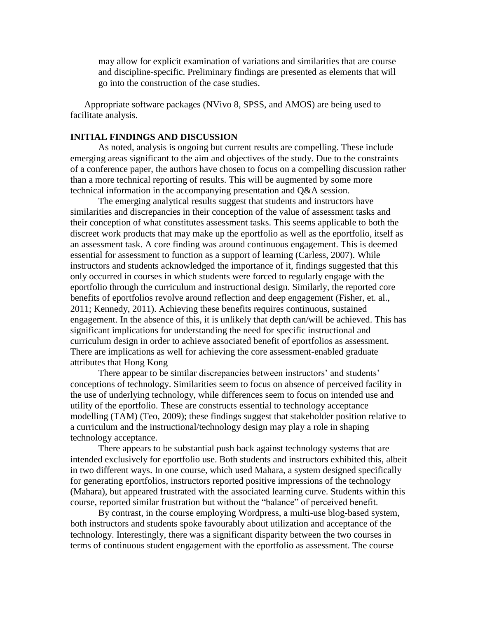may allow for explicit examination of variations and similarities that are course and discipline-specific. Preliminary findings are presented as elements that will go into the construction of the case studies.

Appropriate software packages (NVivo 8, SPSS, and AMOS) are being used to facilitate analysis.

## **INITIAL FINDINGS AND DISCUSSION**

As noted, analysis is ongoing but current results are compelling. These include emerging areas significant to the aim and objectives of the study. Due to the constraints of a conference paper, the authors have chosen to focus on a compelling discussion rather than a more technical reporting of results. This will be augmented by some more technical information in the accompanying presentation and Q&A session.

The emerging analytical results suggest that students and instructors have similarities and discrepancies in their conception of the value of assessment tasks and their conception of what constitutes assessment tasks. This seems applicable to both the discreet work products that may make up the eportfolio as well as the eportfolio, itself as an assessment task. A core finding was around continuous engagement. This is deemed essential for assessment to function as a support of learning (Carless, 2007). While instructors and students acknowledged the importance of it, findings suggested that this only occurred in courses in which students were forced to regularly engage with the eportfolio through the curriculum and instructional design. Similarly, the reported core benefits of eportfolios revolve around reflection and deep engagement (Fisher, et. al., 2011; Kennedy, 2011). Achieving these benefits requires continuous, sustained engagement. In the absence of this, it is unlikely that depth can/will be achieved. This has significant implications for understanding the need for specific instructional and curriculum design in order to achieve associated benefit of eportfolios as assessment. There are implications as well for achieving the core assessment-enabled graduate attributes that Hong Kong

There appear to be similar discrepancies between instructors' and students' conceptions of technology. Similarities seem to focus on absence of perceived facility in the use of underlying technology, while differences seem to focus on intended use and utility of the eportfolio. These are constructs essential to technology acceptance modelling (TAM) (Teo, 2009); these findings suggest that stakeholder position relative to a curriculum and the instructional/technology design may play a role in shaping technology acceptance.

There appears to be substantial push back against technology systems that are intended exclusively for eportfolio use. Both students and instructors exhibited this, albeit in two different ways. In one course, which used Mahara, a system designed specifically for generating eportfolios, instructors reported positive impressions of the technology (Mahara), but appeared frustrated with the associated learning curve. Students within this course, reported similar frustration but without the "balance" of perceived benefit.

By contrast, in the course employing Wordpress, a multi-use blog-based system, both instructors and students spoke favourably about utilization and acceptance of the technology. Interestingly, there was a significant disparity between the two courses in terms of continuous student engagement with the eportfolio as assessment. The course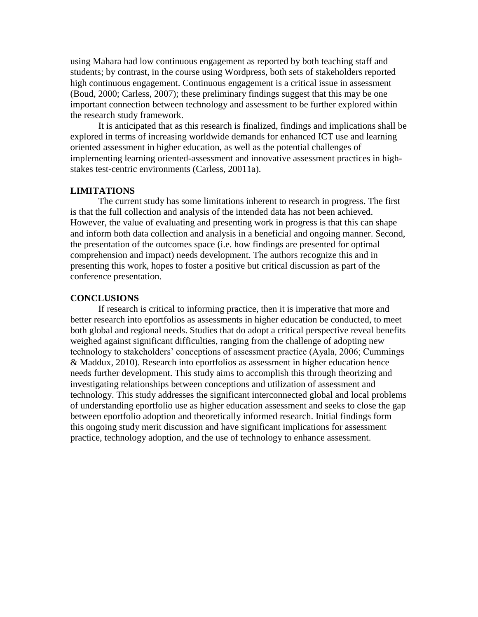using Mahara had low continuous engagement as reported by both teaching staff and students; by contrast, in the course using Wordpress, both sets of stakeholders reported high continuous engagement. Continuous engagement is a critical issue in assessment (Boud, 2000; Carless, 2007); these preliminary findings suggest that this may be one important connection between technology and assessment to be further explored within the research study framework.

It is anticipated that as this research is finalized, findings and implications shall be explored in terms of increasing worldwide demands for enhanced ICT use and learning oriented assessment in higher education, as well as the potential challenges of implementing learning oriented-assessment and innovative assessment practices in highstakes test-centric environments (Carless, 20011a).

## **LIMITATIONS**

The current study has some limitations inherent to research in progress. The first is that the full collection and analysis of the intended data has not been achieved. However, the value of evaluating and presenting work in progress is that this can shape and inform both data collection and analysis in a beneficial and ongoing manner. Second, the presentation of the outcomes space (i.e. how findings are presented for optimal comprehension and impact) needs development. The authors recognize this and in presenting this work, hopes to foster a positive but critical discussion as part of the conference presentation.

#### **CONCLUSIONS**

If research is critical to informing practice, then it is imperative that more and better research into eportfolios as assessments in higher education be conducted, to meet both global and regional needs. Studies that do adopt a critical perspective reveal benefits weighed against significant difficulties, ranging from the challenge of adopting new technology to stakeholders' conceptions of assessment practice (Ayala, 2006; Cummings & Maddux, 2010). Research into eportfolios as assessment in higher education hence needs further development. This study aims to accomplish this through theorizing and investigating relationships between conceptions and utilization of assessment and technology. This study addresses the significant interconnected global and local problems of understanding eportfolio use as higher education assessment and seeks to close the gap between eportfolio adoption and theoretically informed research. Initial findings form this ongoing study merit discussion and have significant implications for assessment practice, technology adoption, and the use of technology to enhance assessment.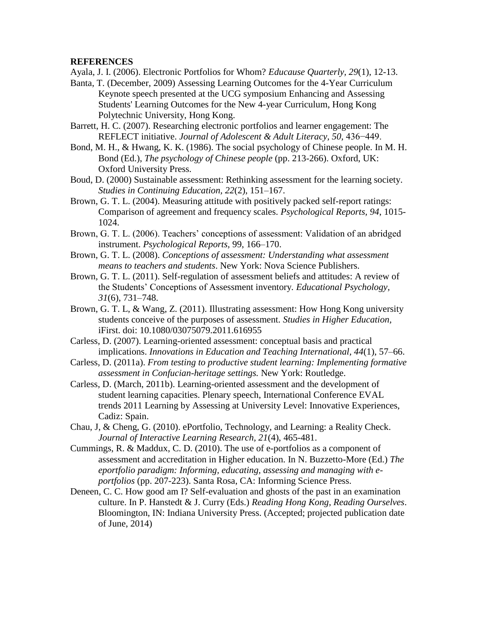## **REFERENCES**

Ayala, J. I. (2006). Electronic Portfolios for Whom? *Educause Quarterly, 29*(1), 12-13.

- Banta, T. (December, 2009) Assessing Learning Outcomes for the 4-Year Curriculum Keynote speech presented at the UCG symposium Enhancing and Assessing Students' Learning Outcomes for the New 4-year Curriculum, Hong Kong Polytechnic University, Hong Kong.
- Barrett, H. C. (2007). Researching electronic portfolios and learner engagement: The REFLECT initiative. *Journal of Adolescent & Adult Literacy, 50,* 436−449.
- Bond, M. H., & Hwang, K. K. (1986). The social psychology of Chinese people. In M. H. Bond (Ed.), *The psychology of Chinese people* (pp. 213-266). Oxford, UK: Oxford University Press.
- Boud, D. (2000) Sustainable assessment: Rethinking assessment for the learning society. *Studies in Continuing Education, 22*(2), 151–167.
- Brown, G. T. L. (2004). Measuring attitude with positively packed self-report ratings: Comparison of agreement and frequency scales. *Psychological Reports, 94*, 1015- 1024.
- Brown, G. T. L. (2006). Teachers' conceptions of assessment: Validation of an abridged instrument. *Psychological Reports,* 99, 166–170.
- Brown, G. T. L. (2008). *Conceptions of assessment: Understanding what assessment means to teachers and students*. New York: Nova Science Publishers.
- Brown, G. T. L. (2011). Self-regulation of assessment beliefs and attitudes: A review of the Students' Conceptions of Assessment inventory*. Educational Psychology, 31*(6), 731–748.
- Brown, G. T. L, & Wang, Z. (2011). Illustrating assessment: How Hong Kong university students conceive of the purposes of assessment. *Studies in Higher Education,*  iFirst. doi: 10.1080/03075079.2011.616955
- Carless, D. (2007). Learning-oriented assessment: conceptual basis and practical implications. *Innovations in Education and Teaching International, 44*(1), 57–66.
- Carless, D. (2011a). *From testing to productive student learning: Implementing formative assessment in Confucian-heritage settings.* New York: Routledge.
- Carless, D. (March, 2011b). Learning-oriented assessment and the development of student learning capacities. Plenary speech, International Conference EVAL trends 2011 Learning by Assessing at University Level: Innovative Experiences, Cadiz: Spain.
- Chau, J, & Cheng, G. (2010). ePortfolio, Technology, and Learning: a Reality Check. *Journal of Interactive Learning Research, 21*(4), 465-481.
- Cummings, R. & Maddux, C. D. (2010). The use of e-portfolios as a component of assessment and accreditation in Higher education. In N. Buzzetto-More (Ed.) *The eportfolio paradigm: Informing, educating, assessing and managing with eportfolios* (pp. 207-223). Santa Rosa, CA: Informing Science Press.
- Deneen, C. C. How good am I? Self-evaluation and ghosts of the past in an examination culture. In P. Hanstedt & J. Curry (Eds.) *Reading Hong Kong, Reading Ourselves*. Bloomington, IN: Indiana University Press. (Accepted; projected publication date of June, 2014)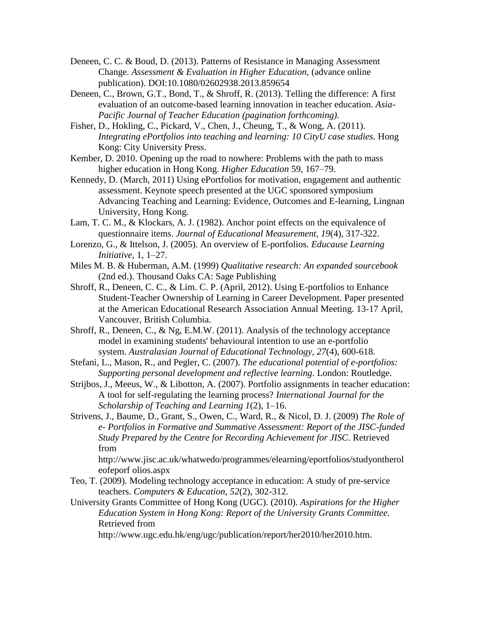- Deneen, C. C. & Boud, D. (2013). Patterns of Resistance in Managing Assessment Change. *Assessment & Evaluation in Higher Education,* (advance online publication). DOI:10.1080/02602938.2013.859654
- Deneen, C., Brown, G.T., Bond, T., & Shroff, R. (2013). Telling the difference: A first evaluation of an outcome-based learning innovation in teacher education. *Asia-Pacific Journal of Teacher Education (pagination forthcoming).*
- Fisher, D., Hokling, C., Pickard, V., Chen, J., Cheung, T., & Wong, A. (2011). *Integrating ePortfolios into teaching and learning: 10 CityU case studies.* Hong Kong: City University Press.
- Kember, D. 2010. Opening up the road to nowhere: Problems with the path to mass higher education in Hong Kong. *Higher Education* 59, 167–79.
- Kennedy, D. (March, 2011) Using ePortfolios for motivation, engagement and authentic assessment. Keynote speech presented at the UGC sponsored symposium Advancing Teaching and Learning: Evidence, Outcomes and E-learning, Lingnan University, Hong Kong.
- Lam, T. C. M., & Klockars, A. J. (1982). Anchor point effects on the equivalence of questionnaire items. *Journal of Educational Measurement, 19*(4), 317-322.
- Lorenzo, G., & Ittelson, J. (2005). An overview of E-portfolios. *Educause Learning Initiative,* 1, 1–27.
- Miles M. B. & Huberman, A.M. (1999) *Qualitative research: An expanded sourcebook* (2nd ed.). Thousand Oaks CA: Sage Publishing
- Shroff, R., Deneen, C. C., & Lim. C. P. (April, 2012). Using E-portfolios to Enhance Student-Teacher Ownership of Learning in Career Development. Paper presented at the American Educational Research Association Annual Meeting. 13-17 April, Vancouver, British Columbia.
- Shroff, R., Deneen, C., & Ng, E.M.W. (2011). Analysis of the technology acceptance model in examining students' behavioural intention to use an e-portfolio system. *Australasian Journal of Educational Technology, 27*(4), 600-618.
- Stefani, L., Mason, R., and Pegler, C. (2007). *The educational potential of e-portfolios: Supporting personal development and reflective learning.* London: Routledge.
- Strijbos, J., Meeus, W., & Libotton, A. (2007). Portfolio assignments in teacher education: A tool for self-regulating the learning process? *International Journal for the Scholarship of Teaching and Learning 1*(2), 1–16.
- Strivens, J., Baume, D., Grant, S., Owen, C., Ward, R., & Nicol, D. J. (2009) *The Role of e- Portfolios in Formative and Summative Assessment: Report of the JISC-funded Study Prepared by the Centre for Recording Achievement for JISC*. Retrieved from

http://www.jisc.ac.uk/whatwedo/programmes/elearning/eportfolios/studyontherol eofeporf olios.aspx

- Teo, T. (2009). Modeling technology acceptance in education: A study of pre-service teachers. *Computers & Education, 52*(2), 302-312.
- University Grants Committee of Hong Kong (UGC). (2010). *Aspirations for the Higher Education System in Hong Kong: Report of the University Grants Committee.*  Retrieved from

http://www.ugc.edu.hk/eng/ugc/publication/report/her2010/her2010.htm.